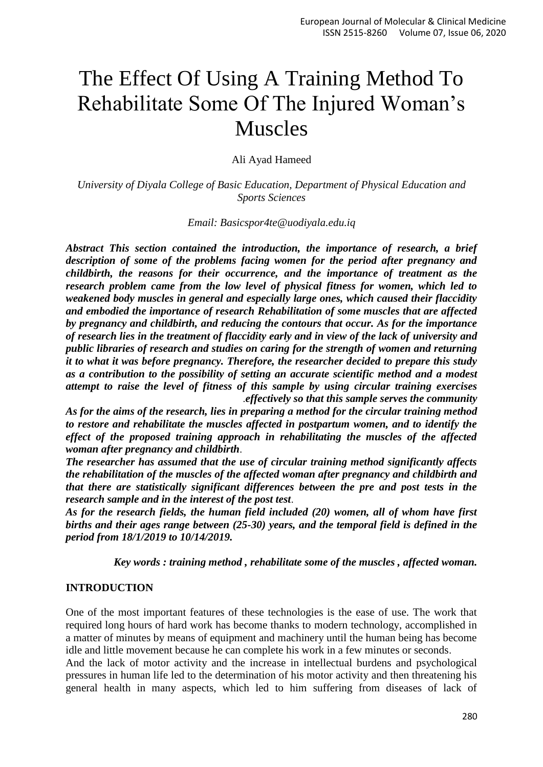# The Effect Of Using A Training Method To Rehabilitate Some Of The Injured Woman's Muscles

Ali Ayad Hameed

*University of Diyala College of Basic Education, Department of Physical Education and Sports Sciences*

*Email: [Basicspor4te@uodiyala.edu.iq](mailto:Basicspor4te@uodiyala.edu.iq)*

*Abstract This section contained the introduction, the importance of research, a brief description of some of the problems facing women for the period after pregnancy and childbirth, the reasons for their occurrence, and the importance of treatment as the research problem came from the low level of physical fitness for women, which led to weakened body muscles in general and especially large ones, which caused their flaccidity and embodied the importance of research Rehabilitation of some muscles that are affected by pregnancy and childbirth, and reducing the contours that occur. As for the importance of research lies in the treatment of flaccidity early and in view of the lack of university and public libraries of research and studies on caring for the strength of women and returning it to what it was before pregnancy. Therefore, the researcher decided to prepare this study as a contribution to the possibility of setting an accurate scientific method and a modest attempt to raise the level of fitness of this sample by using circular training exercises*  .*effectively so that this sample serves the community*

*As for the aims of the research, lies in preparing a method for the circular training method to restore and rehabilitate the muscles affected in postpartum women, and to identify the effect of the proposed training approach in rehabilitating the muscles of the affected woman after pregnancy and childbirth*.

*The researcher has assumed that the use of circular training method significantly affects the rehabilitation of the muscles of the affected woman after pregnancy and childbirth and that there are statistically significant differences between the pre and post tests in the research sample and in the interest of the post test*.

*As for the research fields, the human field included (20) women, all of whom have first births and their ages range between (25-30) years, and the temporal field is defined in the period from 18/1/2019 to 10/14/2019.*

*Key words : training method , rehabilitate some of the muscles , affected woman.*

#### **INTRODUCTION**

One of the most important features of these technologies is the ease of use. The work that required long hours of hard work has become thanks to modern technology, accomplished in a matter of minutes by means of equipment and machinery until the human being has become idle and little movement because he can complete his work in a few minutes or seconds.

And the lack of motor activity and the increase in intellectual burdens and psychological pressures in human life led to the determination of his motor activity and then threatening his general health in many aspects, which led to him suffering from diseases of lack of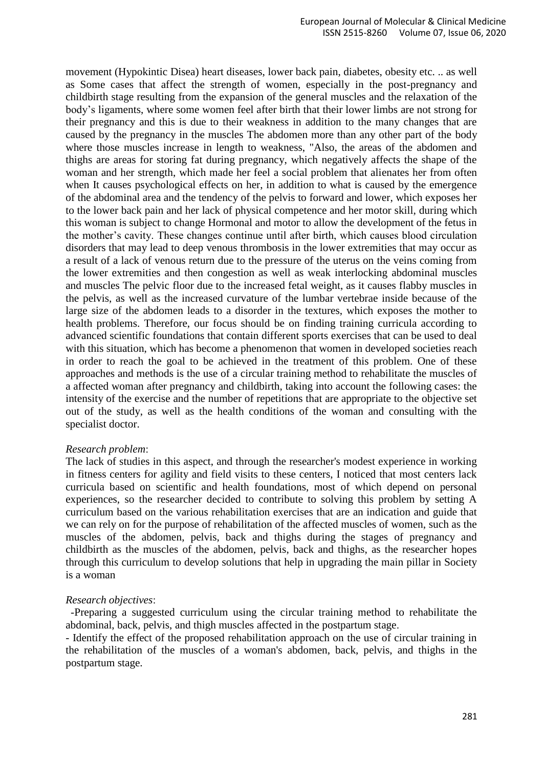movement (Hypokintic Disea) heart diseases, lower back pain, diabetes, obesity etc. .. as well as Some cases that affect the strength of women, especially in the post-pregnancy and childbirth stage resulting from the expansion of the general muscles and the relaxation of the body's ligaments, where some women feel after birth that their lower limbs are not strong for their pregnancy and this is due to their weakness in addition to the many changes that are caused by the pregnancy in the muscles The abdomen more than any other part of the body where those muscles increase in length to weakness, "Also, the areas of the abdomen and thighs are areas for storing fat during pregnancy, which negatively affects the shape of the woman and her strength, which made her feel a social problem that alienates her from often when It causes psychological effects on her, in addition to what is caused by the emergence of the abdominal area and the tendency of the pelvis to forward and lower, which exposes her to the lower back pain and her lack of physical competence and her motor skill, during which this woman is subject to change Hormonal and motor to allow the development of the fetus in the mother's cavity. These changes continue until after birth, which causes blood circulation disorders that may lead to deep venous thrombosis in the lower extremities that may occur as a result of a lack of venous return due to the pressure of the uterus on the veins coming from the lower extremities and then congestion as well as weak interlocking abdominal muscles and muscles The pelvic floor due to the increased fetal weight, as it causes flabby muscles in the pelvis, as well as the increased curvature of the lumbar vertebrae inside because of the large size of the abdomen leads to a disorder in the textures, which exposes the mother to health problems. Therefore, our focus should be on finding training curricula according to advanced scientific foundations that contain different sports exercises that can be used to deal with this situation, which has become a phenomenon that women in developed societies reach in order to reach the goal to be achieved in the treatment of this problem. One of these approaches and methods is the use of a circular training method to rehabilitate the muscles of a affected woman after pregnancy and childbirth, taking into account the following cases: the intensity of the exercise and the number of repetitions that are appropriate to the objective set out of the study, as well as the health conditions of the woman and consulting with the specialist doctor.

#### *Research problem*:

The lack of studies in this aspect, and through the researcher's modest experience in working in fitness centers for agility and field visits to these centers, I noticed that most centers lack curricula based on scientific and health foundations, most of which depend on personal experiences, so the researcher decided to contribute to solving this problem by setting A curriculum based on the various rehabilitation exercises that are an indication and guide that we can rely on for the purpose of rehabilitation of the affected muscles of women, such as the muscles of the abdomen, pelvis, back and thighs during the stages of pregnancy and childbirth as the muscles of the abdomen, pelvis, back and thighs, as the researcher hopes through this curriculum to develop solutions that help in upgrading the main pillar in Society is a woman

#### *Research objectives*:

-Preparing a suggested curriculum using the circular training method to rehabilitate the abdominal, back, pelvis, and thigh muscles affected in the postpartum stage.

- Identify the effect of the proposed rehabilitation approach on the use of circular training in the rehabilitation of the muscles of a woman's abdomen, back, pelvis, and thighs in the postpartum stage.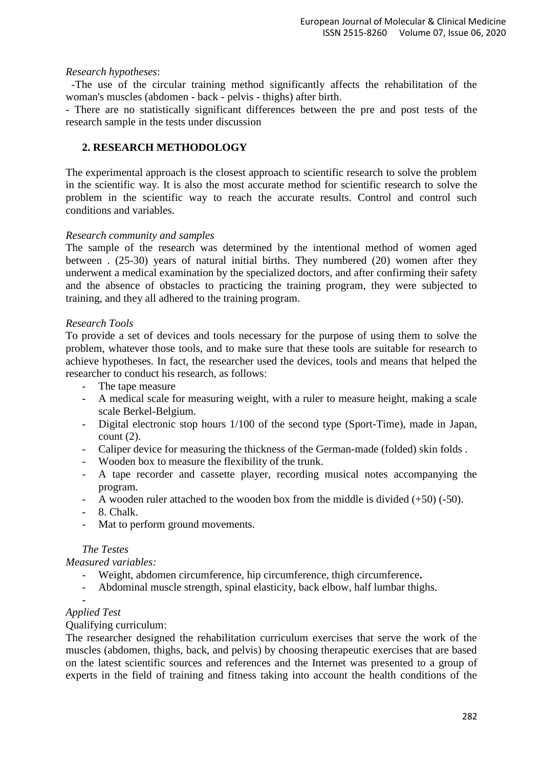#### *Research hypotheses*:

-The use of the circular training method significantly affects the rehabilitation of the woman's muscles (abdomen - back - pelvis - thighs) after birth.

- There are no statistically significant differences between the pre and post tests of the research sample in the tests under discussion

#### **2. RESEARCH METHODOLOGY**

The experimental approach is the closest approach to scientific research to solve the problem in the scientific way. It is also the most accurate method for scientific research to solve the problem in the scientific way to reach the accurate results. Control and control such conditions and variables.

#### *Research community and samples*

The sample of the research was determined by the intentional method of women aged between . (25-30) years of natural initial births. They numbered (20) women after they underwent a medical examination by the specialized doctors, and after confirming their safety and the absence of obstacles to practicing the training program, they were subjected to training, and they all adhered to the training program.

#### *Research Tools*

To provide a set of devices and tools necessary for the purpose of using them to solve the problem, whatever those tools, and to make sure that these tools are suitable for research to achieve hypotheses. In fact, the researcher used the devices, tools and means that helped the researcher to conduct his research, as follows:

- The tape measure
- A medical scale for measuring weight, with a ruler to measure height, making a scale scale Berkel-Belgium.
- Digital electronic stop hours 1/100 of the second type (Sport-Time), made in Japan, count  $(2)$ .
- Caliper device for measuring the thickness of the German-made (folded) skin folds.
- Wooden box to measure the flexibility of the trunk.
- A tape recorder and cassette player, recording musical notes accompanying the program.
- A wooden ruler attached to the wooden box from the middle is divided (+50) (-50).
- 8. Chalk.
- Mat to perform ground movements.

#### *The Testes*

*Measured variables:*

- Weight, abdomen circumference, hip circumference, thigh circumference**.**
- Abdominal muscle strength, spinal elasticity, back elbow, half lumbar thighs.

-

## *Applied Test*

#### Qualifying curriculum:

The researcher designed the rehabilitation curriculum exercises that serve the work of the muscles (abdomen, thighs, back, and pelvis) by choosing therapeutic exercises that are based on the latest scientific sources and references and the Internet was presented to a group of experts in the field of training and fitness taking into account the health conditions of the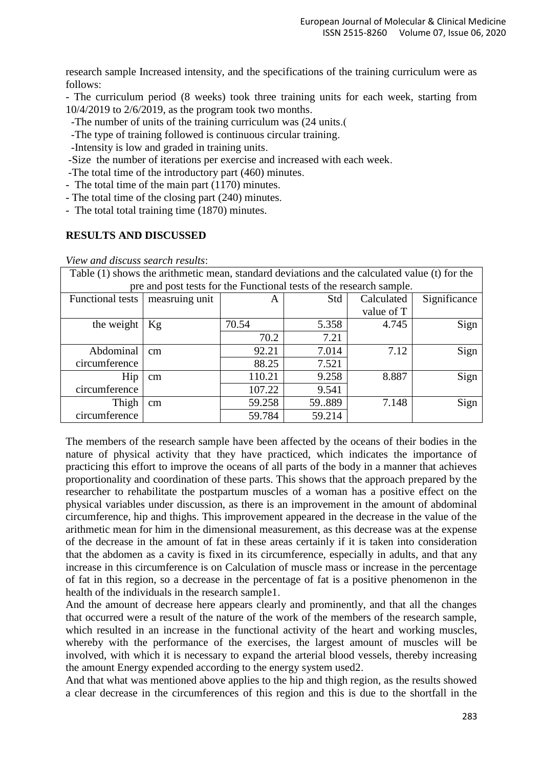research sample Increased intensity, and the specifications of the training curriculum were as follows:

- The curriculum period (8 weeks) took three training units for each week, starting from 10/4/2019 to 2/6/2019, as the program took two months.

-The number of units of the training curriculum was  $(24 \text{ units})$ .

-The type of training followed is continuous circular training.

-Intensity is low and graded in training units.

-Size the number of iterations per exercise and increased with each week.

-The total time of the introductory part (460) minutes.

- The total time of the main part (1170) minutes.

- The total time of the closing part (240) minutes.

- The total total training time (1870) minutes.

#### **RESULTS AND DISCUSSED**

*View and discuss search results*:

| Table (1) shows the arithmetic mean, standard deviations and the calculated value (t) for the |                |        |        |            |              |  |  |  |
|-----------------------------------------------------------------------------------------------|----------------|--------|--------|------------|--------------|--|--|--|
| pre and post tests for the Functional tests of the research sample.                           |                |        |        |            |              |  |  |  |
| <b>Functional tests</b>                                                                       | measruing unit | A      | Std    | Calculated | Significance |  |  |  |
|                                                                                               |                |        |        | value of T |              |  |  |  |
| the weight                                                                                    | Kg             | 70.54  | 5.358  | 4.745      | Sign         |  |  |  |
|                                                                                               |                | 70.2   | 7.21   |            |              |  |  |  |
| Abdominal                                                                                     | cm             | 92.21  | 7.014  | 7.12       | Sign         |  |  |  |
| circumference                                                                                 |                | 88.25  | 7.521  |            |              |  |  |  |
| Hip                                                                                           | cm             | 110.21 | 9.258  | 8.887      | Sign         |  |  |  |
| circumference                                                                                 |                | 107.22 | 9.541  |            |              |  |  |  |
| Thigh                                                                                         | cm             | 59.258 | 59.889 | 7.148      | Sign         |  |  |  |
| circumference                                                                                 |                | 59.784 | 59.214 |            |              |  |  |  |

The members of the research sample have been affected by the oceans of their bodies in the nature of physical activity that they have practiced, which indicates the importance of practicing this effort to improve the oceans of all parts of the body in a manner that achieves proportionality and coordination of these parts. This shows that the approach prepared by the researcher to rehabilitate the postpartum muscles of a woman has a positive effect on the physical variables under discussion, as there is an improvement in the amount of abdominal circumference, hip and thighs. This improvement appeared in the decrease in the value of the arithmetic mean for him in the dimensional measurement, as this decrease was at the expense of the decrease in the amount of fat in these areas certainly if it is taken into consideration that the abdomen as a cavity is fixed in its circumference, especially in adults, and that any increase in this circumference is on Calculation of muscle mass or increase in the percentage of fat in this region, so a decrease in the percentage of fat is a positive phenomenon in the health of the individuals in the research sample1.

And the amount of decrease here appears clearly and prominently, and that all the changes that occurred were a result of the nature of the work of the members of the research sample, which resulted in an increase in the functional activity of the heart and working muscles, whereby with the performance of the exercises, the largest amount of muscles will be involved, with which it is necessary to expand the arterial blood vessels, thereby increasing the amount Energy expended according to the energy system used2.

And that what was mentioned above applies to the hip and thigh region, as the results showed a clear decrease in the circumferences of this region and this is due to the shortfall in the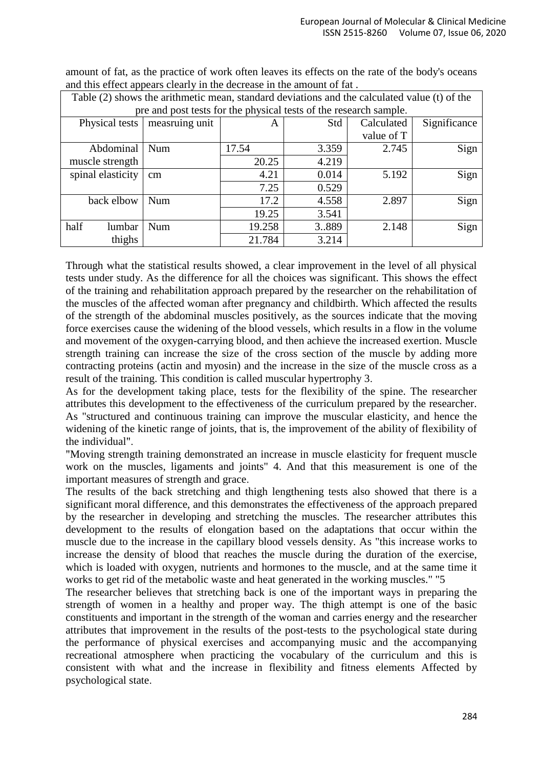| Table (2) shows the arithmetic mean, standard deviations and the calculated value (t) of the |                |        |       |            |              |  |  |  |
|----------------------------------------------------------------------------------------------|----------------|--------|-------|------------|--------------|--|--|--|
| pre and post tests for the physical tests of the research sample.                            |                |        |       |            |              |  |  |  |
| Physical tests                                                                               | measruing unit | A      | Std   | Calculated | Significance |  |  |  |
|                                                                                              |                |        |       | value of T |              |  |  |  |
| Abdominal                                                                                    | Num            | 17.54  | 3.359 | 2.745      | Sign         |  |  |  |
| muscle strength                                                                              |                | 20.25  | 4.219 |            |              |  |  |  |
| spinal elasticity                                                                            | $\rm cm$       | 4.21   | 0.014 | 5.192      | Sign         |  |  |  |
|                                                                                              |                | 7.25   | 0.529 |            |              |  |  |  |
| back elbow                                                                                   | Num            | 17.2   | 4.558 | 2.897      | Sign         |  |  |  |
|                                                                                              |                | 19.25  | 3.541 |            |              |  |  |  |
| half<br>lumbar                                                                               | Num            | 19.258 | 3.889 | 2.148      | Sign         |  |  |  |
| thighs                                                                                       |                | 21.784 | 3.214 |            |              |  |  |  |

amount of fat, as the practice of work often leaves its effects on the rate of the body's oceans and this effect appears clearly in the decrease in the amount of fat .

Through what the statistical results showed, a clear improvement in the level of all physical tests under study. As the difference for all the choices was significant. This shows the effect of the training and rehabilitation approach prepared by the researcher on the rehabilitation of the muscles of the affected woman after pregnancy and childbirth. Which affected the results of the strength of the abdominal muscles positively, as the sources indicate that the moving force exercises cause the widening of the blood vessels, which results in a flow in the volume and movement of the oxygen-carrying blood, and then achieve the increased exertion. Muscle strength training can increase the size of the cross section of the muscle by adding more contracting proteins (actin and myosin) and the increase in the size of the muscle cross as a result of the training. This condition is called muscular hypertrophy 3.

As for the development taking place, tests for the flexibility of the spine. The researcher attributes this development to the effectiveness of the curriculum prepared by the researcher. As "structured and continuous training can improve the muscular elasticity, and hence the widening of the kinetic range of joints, that is, the improvement of the ability of flexibility of the individual".

"Moving strength training demonstrated an increase in muscle elasticity for frequent muscle work on the muscles, ligaments and joints" 4. And that this measurement is one of the important measures of strength and grace.

The results of the back stretching and thigh lengthening tests also showed that there is a significant moral difference, and this demonstrates the effectiveness of the approach prepared by the researcher in developing and stretching the muscles. The researcher attributes this development to the results of elongation based on the adaptations that occur within the muscle due to the increase in the capillary blood vessels density. As "this increase works to increase the density of blood that reaches the muscle during the duration of the exercise, which is loaded with oxygen, nutrients and hormones to the muscle, and at the same time it works to get rid of the metabolic waste and heat generated in the working muscles." "5

The researcher believes that stretching back is one of the important ways in preparing the strength of women in a healthy and proper way. The thigh attempt is one of the basic constituents and important in the strength of the woman and carries energy and the researcher attributes that improvement in the results of the post-tests to the psychological state during the performance of physical exercises and accompanying music and the accompanying recreational atmosphere when practicing the vocabulary of the curriculum and this is consistent with what and the increase in flexibility and fitness elements Affected by psychological state.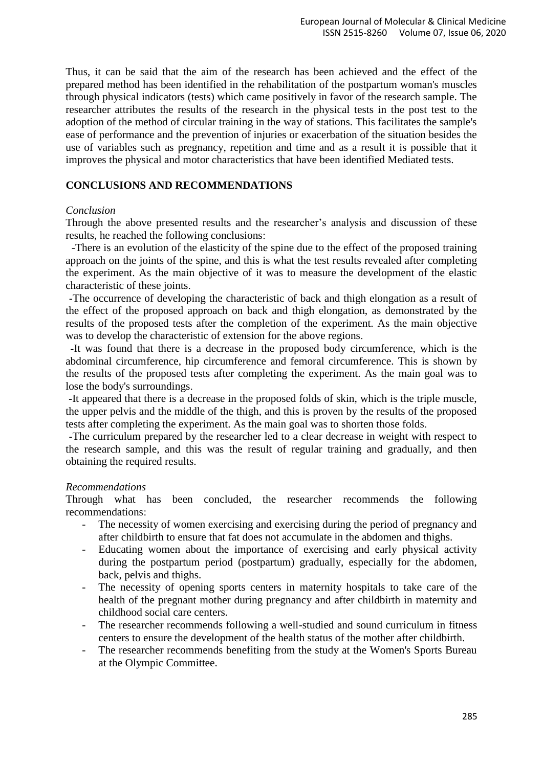Thus, it can be said that the aim of the research has been achieved and the effect of the prepared method has been identified in the rehabilitation of the postpartum woman's muscles through physical indicators (tests) which came positively in favor of the research sample. The researcher attributes the results of the research in the physical tests in the post test to the adoption of the method of circular training in the way of stations. This facilitates the sample's ease of performance and the prevention of injuries or exacerbation of the situation besides the use of variables such as pregnancy, repetition and time and as a result it is possible that it improves the physical and motor characteristics that have been identified Mediated tests.

### **CONCLUSIONS AND RECOMMENDATIONS**

#### *Conclusion*

Through the above presented results and the researcher's analysis and discussion of these results, he reached the following conclusions:

 -There is an evolution of the elasticity of the spine due to the effect of the proposed training approach on the joints of the spine, and this is what the test results revealed after completing the experiment. As the main objective of it was to measure the development of the elastic characteristic of these joints.

-The occurrence of developing the characteristic of back and thigh elongation as a result of the effect of the proposed approach on back and thigh elongation, as demonstrated by the results of the proposed tests after the completion of the experiment. As the main objective was to develop the characteristic of extension for the above regions.

-It was found that there is a decrease in the proposed body circumference, which is the abdominal circumference, hip circumference and femoral circumference. This is shown by the results of the proposed tests after completing the experiment. As the main goal was to lose the body's surroundings.

-It appeared that there is a decrease in the proposed folds of skin, which is the triple muscle, the upper pelvis and the middle of the thigh, and this is proven by the results of the proposed tests after completing the experiment. As the main goal was to shorten those folds.

-The curriculum prepared by the researcher led to a clear decrease in weight with respect to the research sample, and this was the result of regular training and gradually, and then obtaining the required results.

#### *Recommendations*

Through what has been concluded, the researcher recommends the following recommendations:

- The necessity of women exercising and exercising during the period of pregnancy and after childbirth to ensure that fat does not accumulate in the abdomen and thighs.
- Educating women about the importance of exercising and early physical activity during the postpartum period (postpartum) gradually, especially for the abdomen, back, pelvis and thighs.
- The necessity of opening sports centers in maternity hospitals to take care of the health of the pregnant mother during pregnancy and after childbirth in maternity and childhood social care centers.
- The researcher recommends following a well-studied and sound curriculum in fitness centers to ensure the development of the health status of the mother after childbirth.
- The researcher recommends benefiting from the study at the Women's Sports Bureau at the Olympic Committee.